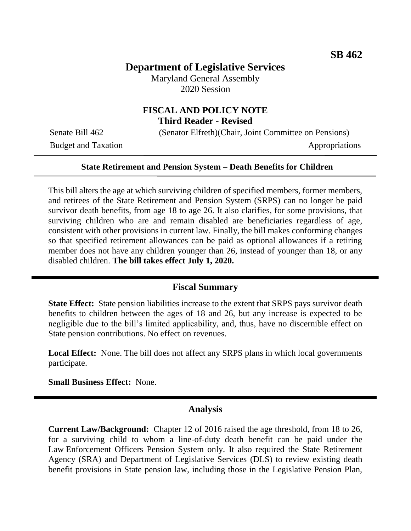# **Department of Legislative Services**

Maryland General Assembly 2020 Session

### **FISCAL AND POLICY NOTE Third Reader - Revised**

Senate Bill 462 (Senator Elfreth)(Chair, Joint Committee on Pensions)

Budget and Taxation Appropriations

#### **State Retirement and Pension System – Death Benefits for Children**

This bill alters the age at which surviving children of specified members, former members, and retirees of the State Retirement and Pension System (SRPS) can no longer be paid survivor death benefits, from age 18 to age 26. It also clarifies, for some provisions, that surviving children who are and remain disabled are beneficiaries regardless of age, consistent with other provisions in current law. Finally, the bill makes conforming changes so that specified retirement allowances can be paid as optional allowances if a retiring member does not have any children younger than 26, instead of younger than 18, or any disabled children. **The bill takes effect July 1, 2020.**

#### **Fiscal Summary**

**State Effect:** State pension liabilities increase to the extent that SRPS pays survivor death benefits to children between the ages of 18 and 26, but any increase is expected to be negligible due to the bill's limited applicability, and, thus, have no discernible effect on State pension contributions. No effect on revenues.

**Local Effect:** None. The bill does not affect any SRPS plans in which local governments participate.

**Small Business Effect:** None.

### **Analysis**

**Current Law/Background:** Chapter 12 of 2016 raised the age threshold, from 18 to 26, for a surviving child to whom a line-of-duty death benefit can be paid under the Law Enforcement Officers Pension System only. It also required the State Retirement Agency (SRA) and Department of Legislative Services (DLS) to review existing death benefit provisions in State pension law, including those in the Legislative Pension Plan,